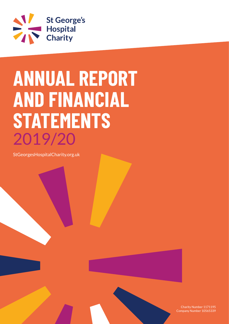

# **ANNUAL REPORT AND FINANCIAL STATEMENTS** 2019/20

StGeorgesHospitalCharity.org.uk



Charity Number 1171195 Company Number 10565339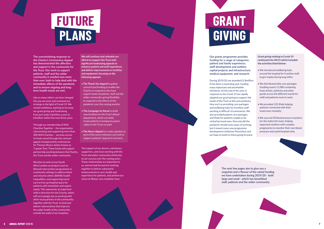**The overwhelming response to the Charity's Coronavirus Appeal has demonstrated the affection and support in the community for the Trust. Our work to support patients, staff and the wider community is needed now more than ever, both to help deal with the immediate effects of the pandemic and to ensure ongoing and longterm health needs are met.**

Like so many others, we have changed the way we work and reviewed our strategy in the light of Covid-19. We remain ambitious, aspiring to increase our grant giving and fundraising from just under £2million a year to £4million within the next three years.

Through our membership of NHS Charities Together – the organisation representing and supporting more than 200 NHS Charities – we have access to funds raised through the national appeal championed by centenarian Sir Thomas Moore, better known as 'Captain Tom'. These funds will support partnership working between the Charity, the Trust and the wider community.

We plan to work across South West London on projects such as lifestyle intervention programmes in community settings to address black and minority ethnic (BAME) health inequalities, and supporting social care to free up hospital space for patients with immediate and urgent needs. This represents an important shift in direction for the Charity, which will increasingly see us working with other local partners in the community, together with the Trust, to fund and deliver interventions that improve the wider health of the community, outside the walls of our hospitals.

**We will continue and redouble our efforts to support the Trust with significant fundraising appeals to enhance patient and staff experience, and deliver improvements in facilities and equipment, focusing on the following appeals:**

- **The Thank You Appeal** to gather unrestricted funding to enable the Charity to respond to the most urgent needs of patients, staff and the wider community, giving flexibility to respond to the effects of the pandemic over the coming months
- **The Campaign for Renal** to build new facilities for the Trust's Renal department, which currently treats patients in temporary porta cabins in the Trust car park
- **The Neuro Appeal** to create a garden as part of the neuro intensive care unit to support patients' long-term recovery.

The support of our donors, volunteers, supporters, and close working with the Trust and wider community will be key to our success over the coming years. These relationships are important to us, and we look forward to working together to deliver substantial enhancements in care, health and experience for patients, and achieve our vision of 'Better care, healthier lives'.

**Our grants programme provides funding for a range of categories: patient and family experience; staff development and welfare; capital projects and infrastructure; medical equipment; and research.**

During 2019/20, we awarded £1.8million. It has been a rewarding year, funding many important and worthwhile initiatives. At the end of the year, in response to the Covid-19 we rapidly adapted our grant giving to support the needs of the Trust at this extraordinary time such as providing care packages and wellbeing hubs for frontline staff working in difficult circumstances. We also provided patient care packages and iPads for patients unable to be visited by loved ones. Not only did the pandemic herald news ways of working, but it meant many new programme development initiatives flourished, and we hope to build on these going forward.

- **Grant giving relating to Covid-19 continued into 20/21 which included the activities listed below:**
- We introduced wellbeing hubs around the hospital for frontline staff to get respite during long shifts.
- We distributed daily care packages totalling nearly 11,000 containing food, drinks, toiletries and other goods across the different wards for staff and patients most in need.
- We provided 125 iPads helping patients connected with their loved ones remotely
- We sourced 50 blood pressure monitors for the maternity team, helping expectant mothers with complex pregnancies to monitor their own blood pressure and avoid hospital visits

**The next few pages aim to give you a snapshot and a flavour of the varied funding we have undertaken during 2019/20 - both staff, patients and the wider community:**



**large and small - which has benefitted** 

- 
- 
- 



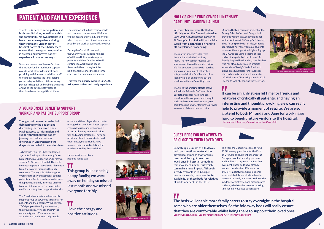**Young onset dementia can be both debilitating for the patient and distressing for their loved ones. Having access to information and support throughout the patient journey can make a massive difference in understanding the diagnosis and what it means for them.**

To help with this, the Charity allocated a grant to fund a part-time Young Onset Dementia Clinic Support Worker for two years at St George's Hospital. Their role involves supporting people with dementia from the point of diagnosis through treatment. The key role of the Support Worker is to answer questions, both for patients and family members, and ensure that patients are fully informed on their treatment, focusing on the immediate, medium and long term support networks.

The Charity has also funded a monthly support group at St George's Hospital for patients and their carers. With between 20-30 people attending each session, the group is clearly needed within the community, and offers a variety of activities and guidance to help people

understand their diagnosis and better manage their condition. These support groups discuss resources available, financial planning, communication tips and coping strategies. They also provide a place to share stories and experiences, make friends, have fun and reduce social isolation that may be caused by the condition.

Here's what some of our patients had to say:

# W





Staff with new foldaway dementia beds

Patient support group activity





**This group is like one big happy family; we were away on holiday so missed last month and we missed everyone terribly.**

# **I love the energy and positive attitudes.**



# **PATIENT AND FAMILY EXPERIENCE**

**The Trust is here to serve patients at both hospital sites, as well as within the community. No two patients will have the same experience during their treatment, visit or stay at hospital, so we at the Charity try to ensure that the support we provide is diverse and improves patient experience in numerous ways.**

Some key examples of how we've done this include funding additional support roles to work alongside clinical staff; providing activities and specialised staff to help patients pass the time; helping parents stay with their children during periods in hospital; and enabling dementia or end-of-life patients stay close to their loved ones during difficult times.

These important initiatives have made and continue to make a real-life impact to patients and their family and friends when they most need it, and we are very proud of the work of everybody involved.

During the Covid-19 pandemic, the Charity has provided a number of additional initiatives to support patients and their families. We will continue to work on and adapt these initiatives throughout the next financial year as the long-term effects of the pandemic are shown.

> VI. **It can be a highly stressful time for friends and relatives of critically ill patients, and having an interesting and thought provoking view can really help to provide a moment of respite. We are so grateful to both Miranda and Jane for working so hard to benefit future visitors to the hospital. Lindsey Izard, Matron, General Intensive Care Unit**

**This year the Charity awarded £264,000 to improve patient and family experience.**

# **A YOUNG ONSET DEMENTIA SUPPORT WORKER AND PATIENT SUPPORT GROUP**

# W **The beds will enable more family carers to stay overnight in the hospital, some who are older themselves. So the foldaway beds will really ensure that they are comfortable whilst being there to support their loved ones. Lou McGregor, Clinical Lead for Dementia and AHP Therapy Consultant**

**In November, we were thrilled to officially open the General Intensive Care Unit (GICU) rooftop garden at St George's Hospital, with actor Jake Wood from EastEnders on hand to officially launch proceedings.**

The rooftop space is visible from the ward and relative's waiting room. The new garden means a vast improvement from the previous view of a flat concrete surface with patches of moss and a couple of old broken pots, especially for families who often spend weeks on end looking out the windows in the unit's waiting room.

Thanks to the amazing efforts of two individuals, Miranda Duffy and Jane Burdett, this space has now been transformed into a green and tranquil oasis, with ceramic seed totems, green backdrops and a water feature to provide a moment of distraction and calm.

Miranda Duffy, a ceramics student at the Putney School of Art and Design, had previously spent six weeks visiting her mother Antonia at St George's, following a bad fall. Inspired with an idea, Miranda approached her fellow ceramic students to ask for their support in brightening up the GICU space using a theme of seed pods as the symbol of the circle of life. Equally inspired by this idea, Jane Burdett who has played a key role in projects as founder of Molly's Smile Fund and a long-time fundraiser for St George's who had already fundraised money to refurbish the GICU waiting room in 2018 - began to look at changing the view, too.

**Something as simple as a foldaway bed can sometimes make all the difference. It means that families can spend the night near their loved ones in hospital, something that may seem simple, but which can make a huge impact. Although already available in St George's paediatric wards, there was limited availability of these beds for relatives of adult inpatients in the Trust.**

This year the Charity was able to fund 12 Glideaway guest beds for the Endof-Life Care and Dementia teams at St George's Hospital, allowing partners and families to stay more comfortable overnight. These beds have already made a considerable difference; not only is it impactful from an emotional viewpoint, but the comforting, familiar presence of family and carers reduces the incidence of distressed and disorientated patients, which further frees up nursing time for individualised patient care.

# **MOLLY'S SMILE FUND GENERAL INTENSIVE CARE UNIT - GARDEN LAUNCH**

# **GUEST BEDS FOR RELATIVES TO BE CLOSE TO THEIR LOVED ONES**

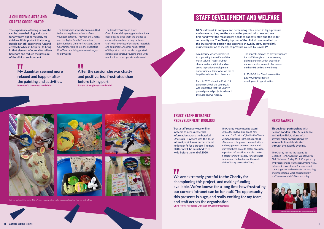**The experience of being in hospital can be overwhelming and scary for anybody, but particularly for children. It's important that young people can still experience fun and creativity while in hospital, to bring in that element of normality, relieve boredom and reduce the pressure of the clinical environment.** 

The Charity has always been committed to improving the experience of our youngest patients. This year, the Charity and the Taylor Family Foundation joint-funded a Children's Arts and Crafts

Coordinator role to join the Paediatric Play Team and bring some creative joy

V. **My daughter seemed more relaxed and happier after the painting and activities. Parent of a three-year-old child**

# $\blacksquare$

to our wards.



The Children's Arts and Crafts Coordinator visits young patients at their bedsides and gives them the chance to express themselves through arts and craft, with a variety of activities, materials and equipment. Another happy effect of this post is that it has also supported parents and carers, providing them with respite time to recuperate and unwind.

# **A CHILDREN'S ARTS AND CRAFTS COORDINATOR**

**After the session she was chatty and positive, less frustrated than before taking part. Parent of a eight-year-old child**





.<br>Artis activities on the children's ward including animal masks, seasonal mathemation of the sand including and





# **STAFF DEVELOPMENT AND WELFARE**

**NHS staff work in complex and demanding roles, often in high-pressure environments, they are the ears on the ground; who hear and see first-hand what the most urgent needs of patients, staff and the wider community are. The Charity is proud of the clinical care provided by the Trust and the passion and expertise shown by staff, particularly during this period of increased pressure caused by Covid-19.**

As a Charity, we are committed to supporting the welfare of the much-valued Trust staff, both clinical and non-clinical, and we strive to provide development opportunities, doing what we can to help them deliver first class care.

Early in 2020 when the Covid-19 pandemic shook the country, it was imperative that the Charity paused planned projects to launch the Coronavirus Appeal.

The appeal's aim was to provide support for staff throughout the worsening global pandemic which created an unprecedented amount of pressure on the NHS and staff wellbeing.

In 2019/20, the Charity committed £419,000 towards staff development opportunities.



**Trust staff regularly use online systems to access essential information across the hospital. One such IT system was the Trust Intranet, which was outdated and no longer fit for purpose. The new platform will be launched Trustwide before the end of 2020.**

The Charity was pleased to award £100,000 to develop a brand new Intranet for Trust staff, led by the Trust's Communications Team. It has a range of features to improve communications and engagement between teams and staff members, provide better access to important information, and also makes it easier for staff to apply for charitable funding and find out about the work of the Charity across the Trust.

# W

**We are extremely grateful to the Charity for championing this project, and making funding available. We've known for a long time how frustrating our current intranet can be for staff. The opportunity this presents is huge, and really exciting for my team, and staff across the organisation. Chris Rolfe, Associate Director of Communications**

# **TRUST STAFF INTRANET REDEVELOPMENT £100,000 HERO AWARDS**

**Through our partnerships with Pelican London Hotel & Residence and Yellow Brick, along with several other contributions we were able to celebrate staff through the awards evening.**

The Charity hosted the second St George's Hero Awards at Wandsworth Civic Suite on 16 May 2019. Compéred by TV presenter and journalist Lorraine Kelly, this event was a chance for everyone to come together and celebrate the amazing and inspirational work carried out by staff across our NHS Trust each day.



Lorraine Kelly with some of our inspirational staff

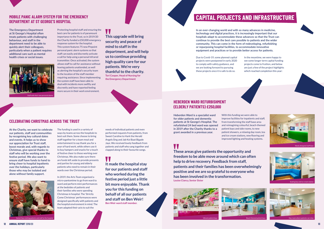**The Emergency Department at St George's Hospital often treats patients with challenging behaviour, and staff in the department need to be able to quickly alert their colleagues, particularly when a patient requires additional care such as mental health crises or social issues.**

Protecting hospital staff and ensuring the best care for patients is of paramount importance to the Trust, so in 2019/20 the Charity funded a £50,000 emergency response system for the hospital. This system features 75 new Pinpoint personal panic alarm systems so that staff can easily and discreetly activate a call for help using a personal Infrared transmitter. Once activated, the system allows staff to call for assistance without leaving patients unattended, as well as alerting the hospital's security team to the location of the staff member requiring assistance. Since implementing the system staff have been able to deal with incidents more swiftly and discreetly and have reported feeling more secure in their work environment.

**At the Charity, we want to celebrate our patients, staff and communities by recognising key cultural dates and events. It helps us to show our appreciation for Trust staff, boost morale and, with regards to Christmas, give special thanks to staff who will be working over the festive period. We also want to ensure staff have funds to hand to bring cheer to hospital inpatients over the holidays, particularly those who may be isolated and alone without family support.**

W **It made the hospital stay for our patients and staff who worked during the festive period just a little bit more enjoyable. Thank you for this funding on behalf of all our patients and staff on Ben Weir! Ben Weir ward staff member.**

The funding is used in a variety of ways by teams across the hospitals to best suit them. Some choose to bring staff together for a team meal and entertainment to say thank you for a year of hard work, while others use it to buy hampers and snacks for a touch of festive cheer to those working over Christmas. We also make sure there are funds left aside to provide presents and parties for young and elderly patients who need to remain in their wards over the Christmas period.

In 2019, the Arts Team organised a micro-pantomime to go from ward to ward and perform mini-performances at the bedsides of patients and their families who were spending Christmas in hospital. The 'Strictly Come Christmas' performances were designed specifically with patients and the hospital environment in mind. The team adapted their acts to suit the

needs of individual patients and even performed requests from patients, from Sweet Caroline to Hark the Herald Angels Sing and Jab Koi Baat Bigade Jaye. We received lovely feedback from patients and staff who sang together and clapped along to their favourite songs.

# **This upgrade will bring security and peace of mind to staff in the department, and will help us to continue providing high quality care for our patients. We're very thankful to the charity. Tori Cooper, Head of Nursing for**

**the Emergency Department**



# **MOBILE PANIC ALARM SYSTEM FOR THE EMERGENCY DEPARTMENT AT ST GEORGE'S HOSPITAL**

# **CELEBRATING CHRISTMAS ACROSS THE TRUST**



Staff with their new personal alarms



Santa Claus visiting patients and staff at the hospital

# **CAPITAL PROJECTS AND INFRASTRUCTURE**

**In an ever-changing world and with so many advances in medicine, technology and digital practices, it is increasingly important that our hospitals adapt to accommodate these advances so that the Trust can continue to provide the best care possible to patients and the wider community. This can come in the form of redeveloping, refurbishing or repurposing hospital facilities, to accommodate innovative equipment and practices or to provide better access for patients.**

Due to Covid-19, some planned capital projects were postponed in early 2020 to comply with safety guidance, and we are looking forward to pursuing these projects once it is safe to do so.

In the meantime, we were happy to see some longer term capital funding projects come to fruition, and below are just a few of the project highlights which reached completion this year:



**Heberden Ward is a specialist ward for older patients and dementia patients at St George's Hospital. The refurbished 24 bed ward was opened in 2019 after the Charity thanks to a grant awarded in a previous year.**

With this funding we were able to improve facilities for inpatients and staff, from transforming the staff base area and reimagining colourful, beach-themed patient bays and side rooms, to new patient showers, a relaxing day room, tea and ice cream stations, new flooring and improved lighting and heating systems.

# VV

**These areas give patients the opportunity and freedom to be able move around which can often help to drive recovery. Feedback from staff, patients and their families has been overwhelmingly positive and we are so grateful to everyone who has been involved in the transformation. Louise Clancy, Senior Sister**



# **HEBERDEN WARD REFURBISHMENT (ELDERLY PATIENTS) £250,000**





Seating bay and ice cream station





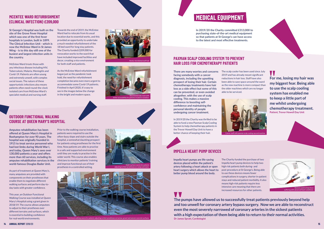**St George's Hospital was built on the site of the Grove Fever Hospital which was one of the first fever hospitals in London, built in 1899. The Clinical Infection Unit - which is now the McEntee Ward in St James Wing - is to this day still one of the busiest and largest infection units in the country.**

McEntee Ward treats those with any infectious disease including HIV, Tuberculosis, Malaria, Meningitis and Covid-19. Patients are often young and extremely unwell, with complex social issues. The nature of these opportunistic infections also means patients often need round-the-clock isolated care from McEntee Ward's specialist medical and nursing staff.

Towards the end of 2019, the McEntee Ward had to relocate from its usual location due to essential works, and this provided an opportunity to undertake a much needed refurbishment of the 18 bed ward for long stay patients. The Charity funded £209,000 for renovation works to the ward that have included improved facilities and decor, creating a nice environment for both staff and patients.

> **There are many worries and concerns** The scalp cooler has been used since July 2019 and has already meant significant reductions in hair loss. Staff have also been able to save space around the ward as the new machine is more compact than the older machines which are no longer able to be serviced.



As the McEntee Ward refurbishment began just as the pandemic took hold, the need for refurbishment completion became even more urgent to accommodate some Covid-19 patients. Finished in April 2020, it's easy to see in the images below the change in the bright and modern space.

**facing somebody with a cancer diagnosis, including the upsetting prospect of losing their hair. Certain chemotherapy treatments have hair loss as a side effect but some of this can be prevented, or even avoided altogether, with the use of scalp cooling. This makes a massive difference to boosting selfconfidence and maintaining the personal identity of people undergoing cancer treatment.**

In 2019/20 the Charity was thrilled to be able to fund a new Paxman Scalp Cooling System to help chemotherapy patients in the Trevor Howell Day Unit to have a better chance of keeping their hair.

**Impella heart pumps are life-saving devices placed within the patient's artery following a heart attack or open heart surgery which allows the heart to better pump blood around the body.**

N **For me, losing my hair was my biggest fear. Being able to use the scalp cooling system has enabled me to keep a little part of me whilst undergoing chemotherapy treatment. Patient, Trevor Howell Day Unit**

The Charity funded the purchase of two Impella heart pump devices to help two high risk patients both during- and post-procedure at St George's. Being able to use these devices means fewer complications in surgery, shorter in-patient stays and reduced patient morbidity. It also means high-risk patients require less intensive care meaning that there are increased resources for other patients.

**Amputee rehabilitation has been offered at Queen Mary's Hospital in Roehampton for over 90 years. The hospital was originally founded in 1915 to treat service personnel who had lost limbs during World War I, and today, Queen Mary's sees over 130,000 patients a year and offers more than 60 services, including its amputee rehabilitation services in the**  clinicians to monitor patients' training **world-famous Douglas Bader Unit.**

As part of treatment at Queen Mary's, many amputees are provided with components on their prostheses that enable them to negotiate different walking surfaces and perform day-today tasks with greater confidence.

This year, an Outdoor Functional Walking Course was installed at Queen Mary's Hospital using a grant given in 2018/19. The course allows amputees to adjust to their prostheses over different terrains and surfaces, which is essential to building confidence for real-world environments.

Prior to the walking course installation, patients were required to use the often-busy slope and stairs outside the hospital, a somewhat daunting prospect for patients using prostheses for the first time. Now patients are able to practise in a safe and supported environment until they are ready to practise in the wider world. This course also enables and improve functional use of their prosthesis in a controlled setting.

# **MCENTEE WARD REFURBISHMENT (CLINICAL INFECTION) £209,000**

# **PAXMAN SCALP COOLING SYSTEM TO PREVENT HAIR LOSS FOR CHEMOTHERAPY PATIENTS**

# **IMPELLA HEART PUMP DEVICES**

# **OUTDOOR FUNCTIONAL WALKING COURSE AT QUEEN MARY'S HOSPITAL**







Cancer staff with paxman scalp cooling cap and machine.



suffering with advanced heart conditions.



# **MEDICAL EQUIPMENT**

**In 2019/20 the Charity committed £313,000 to purchasing state-of-the-art medical equipment so that patients at St George's can have access to the latest and most effective treatments.** 

**The pumps have allowed us to successfully treat patients previously beyond help and too unwell for coronary artery bypass surgery. Now we are able to reconstruct even the most severely narrowed of coronary arteries in the sickest patients with a high expectation of them being able to return to their normal activities. Dr James Spratt, Cardiologist**

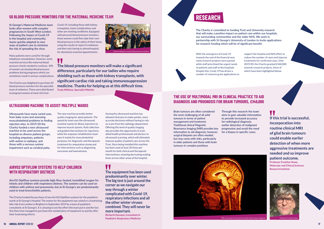**St George's Maternal Medicine team looks after women with complex pregnancies in South West London. Following the impact of Covid-19 in the hospital and community, teams quickly adapted to new ways of patient care to minimise the risk of spreading the virus.**

Many patients were cared for through telephone consultations. However, some essential services like maternal blood pressure checks needed to continue. 10% of women can develop blood pressure problems during pregnancy which can sometimes result in serious complications.

The Charity was delighted to purchase 50 blood pressure monitors for the specialist team of midwives. These were distributed to pregnant women at most risk from

Covid-19, including those with kidney transplants, heart complications and other pre-existing conditions. Equipped with personal blood pressure monitors, these women could then take their own blood pressure in the safety of their home, using the results to report to midwives and then only having to attend hospital for absolutely essential appointments.

> **Brain tumours are often considered the most challenging of all solid tumours in terms of patient management and treatment. Traditional clinical Magnetic Resonance Imaging (MRI) provides key information to aid diagnosis; however, surgical biopsies are often needed, but may come with risks, particularly in older patients and those with brain tumours in complex positions.**

**Through this research the team aims to gain valuable information to provide increased accuracy for radiological diagnosis, earlier detection of malignant progression and avoid the need for a biopsy in specific cases.**

**Ultrasounds have many varied uses, from baby scans and assessing musculoskeletal problems to finding injection sites. In 2019/20 the Charity funded a new ultrasound machine to be used across the hospital on diverse patient groups, including amputees, patients with autism or epilepsy, and those with a nervous system impairment such as cerebral palsy.**

The new machine provides better quality imaging for adult patients. The spasticity team uses the ultrasound machine mainly for Botox injections to improve muscle spasms, fluid collection and guided interventions for injections; while the amputee rehabilitation team uses it mainly for musculoskeletal purposes, for diagnostic and therapeutic treatment for amputation stump and for interventions such as diagnosing neuromas and haematomas.

Having the ultrasound machine has allowed clinicians to make quicker, more accurate decisions without having to rely on scans from the radiology department. Offering this level of quality imaging also provides the opportunity to train allied health professionals and doctors in ultrasound scanning, which will ultimately improve quality of patient care across the Trust. Since being installed this machine has been used at least 20 times per month for both clinical and therapeutic interventions, meaning decreasing waiting times across other areas of the hospital.

**The blood pressure monitors will make a significant difference, particularly for our ladies who require shielding such as those with kidney transplants, with significant cardiac risk and taking immunosuppression medicine. Thanks for helping us at this difficult time. Trudy Williams, Specialist Midwife**

> **The equipment has been used predominantly over winter. The big test is just around the corner as we navigate our way through a winter complicated with Covid-19, respiratory infections and all the other winter viruses combined. They will never be more important. Richard Chavasse, Consultant in**

**Paediatric Respiratory Medicine**

# **50 BLOOD PRESSURE MONITORS FOR THE MATERNAL MEDICINE TEAM**

V V

# **THE USE OF MULTIMODAL MRI IN CLINICAL PRACTICE TO AID DIAGNOSIS AND PROGNOSIS FOR BRAIN TUMOURS, £149,000**

# **ULTRASOUND MACHINE TO ASSIST MULTIPLE WARDS**



Professor Franklyn Howe



# **RESEARCH**

**The Charity is committed to funding Trust and University research that will make a positive impact on patient care within our hospitals, our surrounding communities and the wider NHS. We work in partnership with St George's University of London to invite applications for research funding which will be of significant benefit.** 

With the emergence of Covid-19 towards the end of the financial year, some research projects were paused while staff prioritised the urgent needs of patients and staff at the hospitals. Despite this, Covid-19 has driven a number of research grant applications to

support the hospital and NHS effort to reduce the number of cases and improve treatments for confirmed cases. Over 2019/20, the Charity granted £560,000 towards research projects, three of which have been highlighted below.



# VV

**AirvO2 Optiflow systems provide high-flow, heated, humidified oxygen for infants and children with respiratory distress. The systems can be used on children with asthma and pneumonia, but at St George's are predominantly used to treat bronchiolitis patients.**

The Charity funded the purchase of two AirvO2 Optiflow systems for the paediatric wards at St George's Hospital. The money for the equipment was raised on a fundraising bike ride from London to Brighton in September 2019 by a team of paediatric consultants at St George's. It is amazing to see the effort this team put in and the fact that they have managed to purchase this needed piece of equipment so quickly after their fundraising efforts.

**If this trial is successful, incorporation into routine clinical MRI of glial brain tumours could enable earlier detection of when more aggressive treatments are needed and so improve patient outcome.**

**Professor Franklyn Howe,** 





# **WITH RESPIRATORY DISTRESS**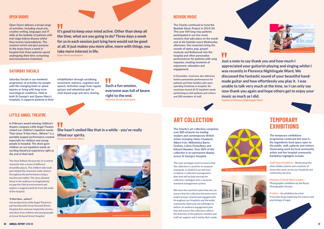**Open Doors delivers a broad range of activities, including visual arts, creative writing, languages and IT skills at the bedside of patients with end-stage kidney disease whilst they receive haemodialysis. The sessions enrich and give purpose to the many hours a week in hospital that these patients spend undergoing their time consuming and monotonous treatment.** 

**The Charity continued to fund the Bedside Music Project in 2019/20. This year 504 long-stay patients participated in our live music sessions that take place on the wards and at the bedside every Wednesday afternoon. Our musicians bring the sounds of opera, pop, gospel, musicals and Bollywood into the hospital and often personalise performances for patients with song requests, creating moments of enjoyment, relaxation and engagement.**

**In December, musicians also delivered festive pantomime performances for patients and their families who were spending Christmas in hospital. Six musicians toured all 33 inpatient wards performing to 664 patients and visitors and 200 members of staff.**

**Saturday Socials is our weekend programme of activities for people with life-changing brain or spinal injuries or living with long-term neurological conditions. Held at both St George's and Queen Mary's hospitals, it supports patients in their** 

**rehabilitation through socialising, movement, memory, cognition and speech. Activities range from regular quizzes and wheelchair golf, to chair-based yoga and story sharing.**

**It's good to keep your mind active. Other than sleep all the time, what are you going to do? Three days a week for us in each session just lying here would not be good at all. It just makes you more alive, more with things, you** 



**take more interest in life.**

**Open Doors participant**

**She hasn't smiled like that in a while - you've really lifted our spirits. Parent on Nicholls Ward**

**Such a fun session, everyone was full of beans right to the end. Saturday Socials participant**

# **OPEN DOORS BEDSIDE MUSIC**

# **SATURDAY SOCIALS**



Willis - Equilateral No. 15, 1997, Acrylic on boa

**In February award winning children's theatre company Little Angel Theatre visited our children's inpatient wards. Their show 'If Not Here…Where?' is a portable puppet performance created especially for children and young people in hospital. The show gave children on our inpatient wards an exciting theatrical experience right at the end of their bed!**

The show follows the journey of a central character into a series of different dreamlike places. The children who took part helped the character make choices throughout the performance using a touchscreen tablet. The story allowed those in the audience to imaginatively escape the clinical environment and explore a magical world far from the walls of the hospital.

#### **'If Not Here…where?'**

was produced by Little Angel Theatre in partnership with Great Ormond Street Hospital Arts and was inspired by stories and ideas from children and young people at Great Ormond Street Hospital.

# **LITTLE ANGEL THEATRE**

A young patient enjoys the immersive bedside show.

**The Charity's art collection comprises over 800 artworks by leading modern and contemporary British artists including Helen Chadwick, Albert Irvin, Wilhelmina Barns-Graham, Lubna Chowdhary and Edward Bawden. Over 80% of the collection is on permanent display across St George's Hospital.**

This year we began work to ensure that the collection is cared for to museum standards. In 2020/21 we will start to deliver a collection management plan that will include moving the collection catalogue onto a museum standard management system.

We have also started to plan how we can ensure that the collection becomes more widely known, shared and engaged with throughout our hospitals and the wider community. Next year we will begin to deliver an audience engagement plan that will ensure the collection reflects the diversity of the patients, families and staff we support and is led by their needs.





**Just a note to say thank you and how much I appreciated your guitarist playing and singing whilst I was recently in Florence Nightingale Ward. We discussed the fantastic sound of your beautiful handmade guitar and how effortlessly you play it. I was unable to talk very much at the time, so I can only say now thank you again and hope others get to enjoy your music as much as I did. Patient on Florence Nightingale Ward**

# **ART COLLECTION**



Royal Photographic Society Exhibition.

**The temporary exhibitions programme continued this year in the Ingredients food space open to the public, staff, patients and visitors, showcasing work by local community artists and the hospital community. Exhibition highlights include:**

**Staff Open Exhibition** - Showcasing the often hidden talents and creativity of those who work across our hospitals and community services.

**Markets of South West London** - Photographic exhibition by the Royal Photographic Society.

**Fruitful** – An exhibition by artist Francoise Sergy exploring the science and psychology of sugar.

# **TEMPORARY EXHIBITIONS**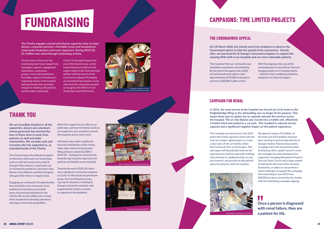# **FUNDRAISING**

**The Charity engages a broad and diverse supporter base of major donors, corporate partners, charitable trusts and foundations, community fundraisers and event organisers. During 2019/20, £1.7million was raised through fundraising activity.**

The key areas of focus for the fundraising team have ranged from campaigns, appeals, engagement with donors, community groups, trusts and foundations. Providing support to fundraisers, organising events at the hospital and community have also been integral to helping staff, patients and the wider community.

Covid-19 emerged towards the end of the financial year, so the fundraising focus shifted to the urgent needs of the Trust and staff welfare with the launch of the Coronavirus Appeal. Prompting an overwhelming response, it was clear that the community wanted to recognise the efforts of and thank their local NHS heroes.

With their support we are able to run table sales, send out Christmas Cards to our supporters, put up posters around the hospitals and so much more.

**We are incredibly thankful to all the supporters, donors and volunteers whose generosity has touched the lives of those most in need, from patients, to staff and wider communities. We consider each and everyone who has supported us, as extended family of the Charity.**

The Charity enjoys the dedicated support of volunteers who assist our fundraising team or staff-led events such as the St George's Hero Awards. In particular, we are immensely grateful to volunteers Alan Bowen, Trixie Roberts and Nicky Simpson who gave their time on a regular basis.

Engaging our community through donated time and skills is very much part of our ambition for the future as we build more volunteering initiatives for the Charity. We are incredibly lucky to have three wonderful fundraising volunteers who help at the Fundraising Office.

Volunteers also make a significant financial contribution to the charity. Table sales, held at the Grosvenor Wing entrance raised £22,000 in 2019/20 – funding that went directly towards improving the experience for patients and families at our hospitals.

Towards the end of 2019/20, there was a significant community response to Covid-19. We thank one prominent group, the Covid Response team, a group of volunteers including St George's University students, who supported the Charity's activity in response to the pandemic.

> W **Once a person is diagnosed with renal failure, they are a patient for life.**



# **THANK YOU**

# **THE CORONAVIRUS APPEAL**

# **CAMPAIGN FOR RENAL**

**On 18 March 2020, the Charity went into lockdown to observe the Government advice to limit the spread of the coronavirus. Shortly after, we launched the St George's Coronavirus Appeal, to support the amazing NHS staff in our hospitals and our most vulnerable patients.** 

The response from our community was immediate and almost overwhelming. By the end of the appeal (July 2020), we had already been able to raise approximately £570,000 in donations and over £230,000 in gifts in kind.

With the ongoing crisis, we will be continuing work to provide for the everchanging needs of our hospital teams – whether that is wellbeing initiatives, equipment or financial support.

**In 2016, the renal service at the hospital was forced out of its home in the Knightsbridge Wing as the old building was no longer fit for purpose. This meant there was no option but to urgently relocate the services across the hospital. The on-site dialysis was moved into a mobile unit, effectively 4 trailers hired and parked in a car park. This resulted in reduced service capacity and a significant negative impact on the patient experience.**

The campaign was launched in July 2019, where the charity agreed to work with the Trust on a major capital project to create a new state-of-the-art facility within the Courtyard Clinic at St George's. This new space will dramatically improve the experience for patients and staff, enabling clinical teams to collaborate fully on care and research, and provide an educational space for patients, staff and students.

We agreed a target of £1million, of the total cost of £2.6million and have been working in partnership with the St George's Kidney Patients Association, to engage with staff and patients while fundraising. After a public launch in June, the campaign has welcomed generous supporters including Woodstock Property Two Ltd, Oasis Church and a large number of individuals who have either donated themselves, or taken on extraordinary event challenges to support the campaign. Since launching in June 2019 over £80,000 has been received by the charity, with the fundraising campaign ongoing.











Cheque kindly gifted by BATCA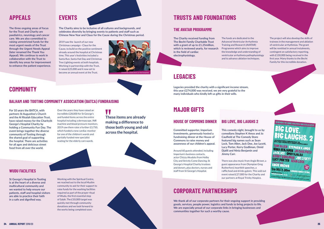**The Charity received funding from The Becht Family Charitable Trust with a grant of up to £1.25million, which is reviewed yearly, for research**  Programme which aims to improve **in the field of cardiac electrophysiology.**

The funds are dedicated to the Advanced Ventricular Arrhythmia Training and Research (AVATAR) the knowledge and understanding of ventricular arrhythmia pathophysiology and to advance ablation techniques.

The project will also develop the skills of trainees in the management and ablation of ventricular arrhythmias. The grant will be remitted in annual instalments, contingent on satisfactory reporting, with £150,000 being received in the first year. Many thanks to the Becht Family for this incredible donation.



**Committed supporter, Imperium Investments, generously hosted a fundraising dinner at the House of Commons to raise money and awareness of our children's appeal.** 

Around 60 guests attended, including Imperium's business contacts, actor Chizzy Akudolu from Holby City and Strictly Come Dancing, St George's Hospital Charity trustees and donors, plus doctors, nurses and staff from St George's Hospital.

**This comedy night, brought to us by comedians Stephen K Amos and Jo Caulfield at The Comedy Store featured big names such as Sean Lock, Tom Allen, Jack Dee, Joe Lycett, Lucy Porter, Kerry Godliman, Omid Djalili and Ninia Benjamin and Jimmy Carr.** 

There was also music from Angie Brown, a guest appearance from Olympian Greg Rutherford, heartfelt speeches, a raffle,food and drinks galore. This sold out event raised £27,000 for the Charity and our partners at Royal Trinity Hospice.

W **These items are already making a difference to those both young and old across the hospital.**



# **For 10 years the BATCA, with**

**partners St Augustine's Church and the Al Risalah Education Trust, have raised money for the CharitySt George's Hospital Charity by holding a Community Fun Day. The event brings together the diverse community of Tooting through the shared goal of supporting the hospital. There are activities for all ages and delicious street food from all over the world.**

Over the years they have raised an incredible £28,000 for St George's and funded items across the entire hospital including a dermascope, INR machine and blood pressure monitors. 2019 saw them raise a further £3,750, which funded a new cardiac monitor for one of the children's wards and partially funded new specialist seating for the elderly care wards.

**St George's Hospital in Tooting is at the heart of a diverse and multicultural community and we wanted to help ensure our patients, staff and hospital visitors are able to practice their faith in a safe and dignified way.**

Working with the Spiritual Centre, we reached out to the local Muslim community to ask for their support to raise funds for the washing facilities required as part of the prayer ritual of Wudu, the first essential step of Salah. The £10,000 target was quickly met through community donations and we look forward to the works being completed soon.



# **THE AVATAR PROGRAMME**

# **HOUSE OF COMMONS DINNER BIG LOVE, BIG LAUGHS 2**

**BALHAM AND TOOTING COMMUNITY ASSOCIATION (BATCA) FUNDRAISING**

# **WUDU FACILITIES**

# **APPEALS**

**The three ongoing areas of focus for the Trust and Charity are paediatrics, neurology and cancer care. We are also committed to raising unrestricted funds for the most urgent needs of the Trust through the Urgent Needs Appeal (later renamed the Thank You Appeal). We continue to work in collaboration with the Trust to identify key areas for improvement to enhance the patient experience.**

# **EVENTS TRUSTS AND FOUNDATIONS**

# **MAJOR GIFTS**

**The Charity aims to be inclusive of all cultures and backgrounds, and celebrates diversity by bringing events to patients and staff such as Chinese New Year and Claus for the Cause during the Christmas period.**

2019 saw the launch of our new Christmas campaign - Claus for the Cause, to build on the positive sentiment already around the hospital at Christmas time. This year's festivities included a Santa Run, Santa Hat Day and Christmas Tree Lighting events at both hospitals. Working in partnership with the Trust, it raised £25,000 and it now set to become an annual event at the Trust.

# **LEGACIES**

**Legacies provided the charity with a significant income stream, this year £274,000 was received, we are very grateful to the many individuals who kindly left us gifts in their wills.**

# **CORPORATE PARTNERSHIPS**

**We thank all of our corporate partners for their ongoing support in providing goods, services, people power, logistics and funds to bring projects to life. We are especially proud of our corporate links in bringing businesses and communities together for such a worthy cause.** 

**COMMUNITY**

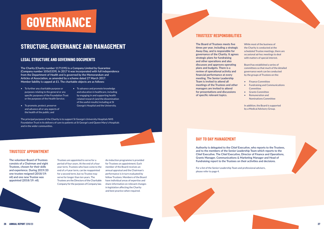# **STRUCTURE, GOVERNANCE AND MANAGEMENT**

# **LEGAL STRUCTURE AND GOVERNING DOCUMENTS**

**The Charity (Charity number 1171195) is a Company Limited by Guarantee (Company number 10565339). In 2017 it was incorporated with full independence from the Department of Health and is governed by the Memorandum and Articles of Association, as amended by a scheme dated 27 March 2017. Member liability is capped at £1. The charitable objects are as follows:**

- To further any charitable purpose or purposes relating to the general or any specific purposes of the Foundation Trust or the purposes of the Health Service;
- To promote, protect, preserve and advance all or any aspects of the health of the public; and
- To advance and promote knowledge and education in healthcare, including by engaging in and supporting health related research (and the dissemination of the useful results) including at St George's Hospital and the University.

The principal purpose of the Charity is to support St George's University Hospitals NHS Foundation Trust in its delivery of care to patients at St George's and Queen Mary's Hospitals and in the wider communities.



# **TRUSTEES' APPOINTMENT**

**The volunteer Board of Trustees consists of a Chairman and eight Trustees, chosen for their skills and experience. During 2019/20 one trustee resigned (2018/19: nil) and one new Trustee was appointed (2018/19: nil).** 

Trustees are appointed to serve for a period of four years. At the end of a four year term, Trustees who have come to the end of a 4 year term, can be reappointed for a second term, but no Trustee may serve for longer than ten years. The Trustees are the Directors of the Charitable Company for the purposes of Company law.

An induction programme is provided for Trustees on appointment. Each member of the Board receives an annual appraisal and the Chairman's performance is in turn evaluated by fellow Trustees. Members of the Board have individual areas of expertise and share information on relevant changes in legislation affecting the Charity and best practice when required.

# **TRUSTEES' RESPONSIBILITIES**

**The Board of Trustees meets five times per year, including a strategic Away Day, and is responsible for governance of the Charity. It agrees strategic plans for fundraising and other operations and also discusses and approves operating plans and budgets. There is a review of operational activity and financial performance at every meeting. The Senior Leadership Team is invited to attend all meetings of the Trustees and other managers are invited to attend for presentations and discussions of specific relevant topics.** 

While most of the business of the Charity is conducted at the scheduled Trustee meetings, there are occasional ad-hoc meetings to deal with matters of special interest.

Board has established a series of committees so that much of the detailed governance work can be conducted by the groups of Trustees on the:

- Finance Committee
- Fundraising and Communications **Committee**
- Grants Committee
- Remuneration and Nominations Committee

In addition, the Board is supported by a Medical Advisory Group.



**DAY TO DAY MANAGEMENT**

**Authority is delegated to the Chief Executive, who reports to the Trustees, and to the members of the Senior Leadership Team which reports to the Chief Executive. The Chief Executive, Director of Finance and Operations, Grants Manager, Communications & Marketing Manager and Head of Fundraising report to the Trustees on their activities and decisions.**

For a list of the Senior Leadership Team and professional advisers, please refer to page 4.

# **GOVERNANCE**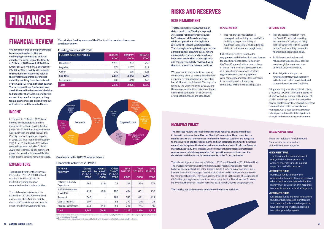# **FINANCIAL REVIEW**

**We have delivered sound performance from operational activities in a challenging economic and political climate. The net assets of the Charity at 31 March 2020 were £12.7million (2018/19: £14.7million), a decrease of £2million. This is mainly attributable to the adverse effect on the value of the investment portfolio of market volatility resulting from the outbreak of the Covid-19 virus in the last quarter. The net expenditure for the year was also influenced by the trustees' decision to budget for charitable expenditure in excess of income for the year, arising from plans to increase expenditure out of Restricted and Designated funds.**

# **INCOME**

In the year to 31 March 2020, total income from fundraising and the investment portfolio was £2.1million (2018/19: £2.8million). Legacy income was lower than the prior year, as the Charity received significant legacies in 2018/19. Total income increased by 22%, from £1.7million to £2.1million. over a three year period to 31 March 2020. This is largely due to significant growth in donation income whilst the other income streams remained stable.

# **EXPENDITURE**

Total expenditure for the year was £2.8million (2018/19: £3.0million), of this £2.1million (2018/19: £2.4million) being spent or committed to charitable activities.

The total cost of raising funds is £0.7million (2018/19: £0.6million) an increase of £0.1million mainly due to staff recruitment and interim cover for a Senior Leadership role.

> \*Grants retracted include balances accrued in previous years and now not owing by the Charity as well as return of grants previously awarded that have not been fully used.

\*Other costs are the allocation of costs incurred by the Charity to support and facilitate these charitable activities

# **Charitable activities 2019/20**

| <b>TYPE OF</b><br><b>ACTIVITY</b>     | <b>Grants</b><br>awarded<br>2019/20<br>£'000 | <b>Grants</b><br>Retracted <sup>*</sup><br>2019/20<br>£'000 | <b>Other</b><br>$Costs**$<br>2019/20<br>£'000 | <b>Total</b><br>2019/20<br>£'000 | <b>Total</b><br>2018/19<br>£'000 | Total<br>2017/18<br>£'000 |
|---------------------------------------|----------------------------------------------|-------------------------------------------------------------|-----------------------------------------------|----------------------------------|----------------------------------|---------------------------|
| Patients & Family<br>Experience       | 264                                          | (18)                                                        | 73                                            | 319                              | 359                              | 572                       |
| <b>Staff Development</b><br>& Welfare | 419                                          | (85)                                                        | 100                                           | 434                              | 451                              | 758                       |
| Research                              | 560                                          |                                                             | 185                                           | 745                              | 691                              | 429                       |
| <b>Capital Projects</b>               | 209                                          |                                                             | 63                                            | 272                              | 146                              | 28                        |
| <b>Medical Equipment</b>              | 313                                          | (46)                                                        | 81                                            | 348                              | 741                              | (75)                      |
| Total                                 | 1.765                                        | (149)                                                       | 502                                           | 2.118                            | 2.388                            |                           |

# **FINANCE**

**Grants awarded in 2019/20 were as follows:**

**The principal funding sources of the Charity of the previous three years are shown below:**

## **Funding Sources 2019/20**

| <b>FUNDRAISING ACTIVITIES</b> | 2019/20<br>£'000 | 2018/19<br>f'000 | 2017/18<br>⊦£'000 |
|-------------------------------|------------------|------------------|-------------------|
| <b>Donations</b>              | 1.118            |                  | 755               |
| Legacies                      | 274              | 1.207            |                   |
| Other                         | 262              | 198              | 325               |
| <b>Sub Total</b>              | 1.654            | 2.342            |                   |
| Investments                   | 483              | 463              |                   |
|                               |                  |                  |                   |



# **RISKS AND RESERVES**

# **RISK MANAGEMENT**

**Trustees regularly review the major risks to which the Charity is exposed. A strategic risk register is reviewed by Trustees at all Board meetings, while an operational risk register is reviewed at Finance Sub Committee. The risk register is updated as part of the annual business planning cycle. Where appropriate, systems and procedures have been established to manage risks, and these are regularly reviewed, with the assistance of the internal auditors.** 

We have put in place specific action and contingency plans to ensure that the risks are properly managed and any potential harmful impact is minimised. The key risks faced by the Charity during 2019/20 and the management actions taken to mitigate either the likelihood of a risk occurring or its possible impact, are as follows:

## **REPUTATION RISK**

• The risk that our reputation is damaged, undermining our credibility and impacting on our ability to fundraise successfully and limiting our ability to achieve our strategic aims.

Mitigation: Effective stakeholder engagement with the hospitals and donors for specific projects; close liaison with the Trust Communications team to hear of any current or future issues; creation of a Crisis Communications Strategy; regular review of, and engagement with, regulatory and legal developments in fundraising and volunteering; compliance with the Fundraising Code.

## **EXTERNAL RISKS**

- Risk of a serious infection from the Covid-19 outbreak resulting in a number of Charity staff being ill at the same time with an impact on the Charity's ability to meet its financial and operational goals.
- Fall in investment values and returns due to geopolitical political events or global events such as outbreak of Covid -19 virus.
- Risk of significant impact on fundraising strategy and capability in the light of restrictions introduced to meet the outbreak of Covid-19.

Mitigation: Major incident policy in place, a response to Covid-19 incident issued to all staff with clear guidance; the impact of a fall in investment values is managed by careful portfolio construction and increased communication with our investment managers. Our 3 year business strategy is being revised to reflect the significant changes in the fundraising environment.

![](_page_15_Picture_39.jpeg)

# **SPECIAL PURPOSE FUNDS**

# **RESERVES POLICY**

**The Trustees review the level of free reserves required on an annual basis, in line with guidance issued by the Charity Commission. They recognise the need to ensure that the reserves held enable financial stability, are adequate to meet working capital requirements and can safeguard the Charity's current commitments against fluctuation in income levels and volatility in the financial markets. Especially, the Trustees wish to ensure that sufficient unrestricted reserves are available to guarantee that operations can continue over the short-term and that financial commitments to the Trust can be met.** 

The balance of general reserves at 31 March 2020 was £3.6million (2019: £4.4million). The Trustees have reviewed the minimum level of reserves required to meet the higher of operating liabilities of the Charity, should it suffer a major downturn in its income, or to affect a managed cessation of activities and to provide adequate cover for contingent liabilities. They have assessed this to be in the range of £3.5million to £4.0million, taking into account future market volatility. Therefore, the Trustees believe that the current level of reserves at 31 March 2020 to be appropriate.

**The Charity has various funds available to finance its activities:**

These are individual funds intended for a specific purpose and are divided into three categories:

# **• ENDOWMENT FUND**

The Charity holds one endowment fund, which has been granted in order to generate funds to support a specific charitable purpose.

**• RESTRICTED FUNDS**

Restricted funds consist of the unexpended balance of income received where the donor has defined what the money must be used for, or in response to a specific appeal or fundraising event.

# **• DESIGNATED FUNDS**

Designated funds are funds held where the donor has expressed a preference as to how the funds are to be spent but have allowed the trustees discretion to use for general purposes.

- 
- 
- 
-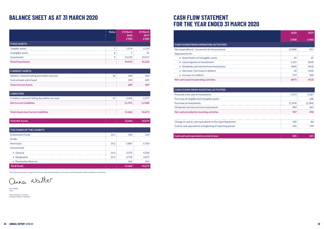# **CASH FLOW STATEMENT FOR THE YEAR ENDED 31 MARCH 2020**

|                                                   | 2020    | 2019  |
|---------------------------------------------------|---------|-------|
|                                                   | £'000   | £'000 |
| <b>CASH FLOWS FROM OPERATING ACTIVITIES:</b>      |         |       |
| Net (expenditure) / income for the financial year | (2.008) | 451   |
| Adjustments for:                                  |         |       |
| • Amortisation of intangible assets               | 24      | 37    |
| • Losses/(gains) on investments                   | 1.321   | (639) |
| • Dividends and interest from investments         | (483)   | (463) |
| • Decrease / (increase) in debtors                | 20      | (104) |
| • Increase in creditors                           | 279     | 306   |
| Net cash (used in) operating activities           | (847)   | (412) |

| Net (expenditure) / income for the financial year |
|---------------------------------------------------|
| Adjustments for:                                  |
| Amortisation of intangible assets                 |
| Losses/(gains) on investments                     |
| Dividends and interest from investments           |
| Decrease / (increase) in debtors                  |
| Increase in creditors                             |
| Net cash (used in) operating activities           |
|                                                   |
| <b>CASH FLOWS FROM INVESTING ACTIVITIES:</b>      |
| Proceeds from sale of investments                 |
| Purchase of tangible and intangible assets        |
|                                                   |
| Purchase of investments                           |
| Dividends and interest from investments           |

| <b>CASH FLOWS FROM INVESTING ACTIVITIES:</b>              |         |         |
|-----------------------------------------------------------|---------|---------|
| Proceeds from sale of investments                         | 1.573   | 2.367   |
| Purchase of tangible and intangible assets                |         | (28)    |
| Purchase of investments                                   | (1.109) | (2.304) |
| Dividends and interest from investments                   | 483     | 463     |
| Net cash provided by investing activities                 | 947     | 498     |
|                                                           |         |         |
| Change in cash & cash equivalents in the reporting period | 100     | 86      |
| Cash & cash equivalents at beginning of reporting period  | 245     | 159     |
|                                                           |         |         |
|                                                           |         |         |

**Cash and cash equivalents at end of year 345 245**

# **BALANCE SHEET AS AT 31 MARCH 2020**

| <b>FIXED ASSETS:</b>      | <b>Notes</b> | 31 March<br>2020<br>£'000 | 31 March<br>2019<br>£'000 |
|---------------------------|--------------|---------------------------|---------------------------|
| Tangible assets           |              | 1.274                     | . 274                     |
| Intangible assets         | $\circ$<br>o |                           | 31                        |
| Investments               | a            | 13,132                    | 14.917                    |
| <b>Total Fixed Assets</b> |              | 14,413                    | 16,222                    |

| CURRENT ASSETS:                              |     |     |
|----------------------------------------------|-----|-----|
| Debtors: amounts falling due within one year | 344 | 364 |
| Cash at bank and in hand                     | 345 | 245 |
| <b>Total Current Assets</b>                  | 689 |     |

| THE FUNDS OF THE CHARITY: |      |        |        |
|---------------------------|------|--------|--------|
| <b>Endowment Funds</b>    | 14.1 | 185    | 218    |
| Funds:                    |      |        |        |
| Restricted                | 14.2 | 5,887  | 6.760  |
| Unrestricted              |      |        |        |
| • General                 | 14.3 | 3.575  | 4.358  |
| • Designated              | 14.3 | 2.756  | 3.075  |
| • Revaluation Reserve     |      | 263    | 263    |
| <b>Total Funds</b>        |      | 12,666 | 14.674 |

| <b>LIABILITIES:</b>                            |         |         |
|------------------------------------------------|---------|---------|
| Creditors: amounts falling due within one year | 2.436   | 2.157   |
| <b>Net Current Liabilities</b>                 | (1.747) | (1.548) |
|                                                |         |         |
| <b>Total Assets less Current Liabilities</b>   | 12,666  | 14.674  |

| <b>Total Net Assets</b> | 2.666 | 674 |
|-------------------------|-------|-----|
|                         |       |     |

The Financial statements on pages 30 to 51 were approved by the Board of Trustees on 25th September 2020 and signed on its behalf by:

anner walker

Anna Walker Chair

Charity Number 1171195 Company Number 10565339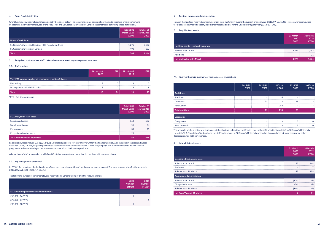|                                                        | Total at 31<br><b>March 2020</b><br>£'000 | Total at 31<br><b>March 2019</b><br>£'000 |
|--------------------------------------------------------|-------------------------------------------|-------------------------------------------|
| <b>Name of recipient:</b>                              |                                           |                                           |
| St. George's University Hospitals NHS Foundation Trust | 1.275                                     | 2.107                                     |
| St. George's University of London                      | 490                                       | 157                                       |
| <b>Total</b>                                           | 1.765                                     | 2.264                                     |

|                                       | 31 March<br>2020<br>£'000 | 31 March<br>2019<br>£'000 |
|---------------------------------------|---------------------------|---------------------------|
| Heritage assets - cost and valuation: |                           |                           |
| Balance as at 1 April                 | 1.274                     | 1.253                     |
| Additions                             | $\overline{\phantom{a}}$  | 21                        |
| Net book value at 31 March            | 1274                      | -274                      |

| 5.2. Analysis of staff costs  | Total at 31<br><b>March 2020</b><br>£'000 | Total at 31<br><b>March 2019</b><br>£'000 |
|-------------------------------|-------------------------------------------|-------------------------------------------|
| Salaries and wages            | 668                                       | 537                                       |
| Social security costs         | 56                                        | 54                                        |
| Pension costs                 | 35                                        | 28                                        |
| Ex-gratia and redundancy      | 28                                        |                                           |
| Total emoluments of employees | 787                                       | 619                                       |

|                                           | 2020<br><b>Number</b><br>of Staff | 2019<br><b>Number</b><br>of Staff |
|-------------------------------------------|-----------------------------------|-----------------------------------|
| 5.3. Senior employee received emoluments: |                                   |                                   |
| £60,000 - £69,999                         |                                   |                                   |
| £70,000 - £79,999                         |                                   |                                   |
| £80,000 - £89,999                         |                                   |                                   |

|                                                           | No. of staff<br>2020 | FTE: | No. of staff<br>2019 | <b>FTE</b> |
|-----------------------------------------------------------|----------------------|------|----------------------|------------|
| The *FTE average number of employees is split as follows: |                      |      |                      |            |
| <b>Fundraising</b>                                        |                      |      |                      |            |
| Management and administration                             |                      |      |                      |            |
| <b>Total</b>                                              | 16                   |      |                      |            |

#### **5.3. Key management personnel**

In 2018/19 a broadened Senior Leadership Team was created consisting of the six posts shown on page 4. The total remuneration for these posts in 2019/20 was £496k (2018/19: £369k).

The following number of senior employees received emoluments falling within the following range:

#### **6. Trustees expenses and remuneration**

None of the Trustees received any remuneration from the Charity during the current financial year (2018/19: £37k). No Trustees were reimbursed for expenses incurred while carrying out their responsibilities for the Charity during the year (2018/19 - £nil).

| 7. | Tangible fixed assets |
|----|-----------------------|
|    |                       |

### **4. Grant Funded Activities**

Grant funded activities included charitable activities as set below. The remaining grants consist of payments to suppliers or reimbursement of expenses incurred by employees of the NHS Trust and St George's University of London, thus indirectly benefiting those institutions.

**5. Analysis of staff numbers, staff costs and remuneration of key management personnel**

#### **5.1. Staff numbers**

\*FTE = full time equivalent

Salaries and wages include £75k (2018/19: £14k) relating to costs for interim cover within the finance function. Also included in salaries and wages was £28k (2018/19: £nil) ex-gratia payment to a senior executive for loss of service. The charity employs one member of staff to deliver the Arts programme. All costs relating to this employee are treated as charitable expenditure.

All members of staff are enrolled in a Defined Contribution pension scheme that is compliant with auto-enrolment.

|                        | 2019/20<br>£'000 | 2018/19<br>£'000 | 2017/18<br>£'000 | 2016/17<br>£'000 | 2015/16<br>£'000 |
|------------------------|------------------|------------------|------------------|------------------|------------------|
| <b>Additions:</b>      |                  |                  |                  |                  |                  |
| Purchases              |                  |                  | 35               |                  |                  |
| <b>Donations</b>       |                  | 21               | ۰                | 28               |                  |
| Revaluation            |                  |                  | 263              |                  |                  |
| <b>Total additions</b> |                  | 21               | 298              | 28               |                  |
| Disposals:             |                  |                  |                  |                  |                  |
| Carry value            |                  |                  | ۰                |                  | 10               |
| Sales proceeds         |                  |                  |                  | З                | 10               |

#### **7.1. Five year financial summary of heritage assets transactions**

The artworks are held entirely in pursuance of the charitable objects of the Charity – for the benefit of patients and staff in St George's University Hospitals NHS Foundation Trust and also the staff and students at St George's University of London. In accordance with our accounting policy depreciation has not been charged.

**8. Intangible fixed assets**

|                                  | 31 March<br>2020<br>£'000 | 31 March<br>2019<br>£'000 |
|----------------------------------|---------------------------|---------------------------|
| Intangible fixed assets - cost:  |                           |                           |
| Balance as at 1 April            | 155                       | 148                       |
| Additions                        |                           |                           |
| Balance as at 31 March           | 155                       | 155                       |
| <b>Accumulated depreciation:</b> |                           |                           |
| Balance as at 1 April            | (124)                     | (87)                      |
| Charge in the year               | (24)                      | (37)                      |
| <b>Balance as at 31 March</b>    | (148)                     | (124)                     |
| Net Book Value at 31 March       |                           | 31                        |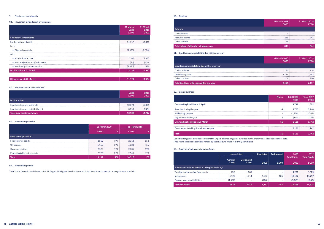## **10. Debtors**

#### **9.4. Investment powers**

The Charity Commission Scheme dated 18 August 1998 gives the charity unrestricted investment powers to manage its own portfolio.

Liabilities for grants awarded represent the unpaid balance on grants awarded by the charity as at the balance sheet date. They relate to current activities funded by the charity to which it is firmly committed.

# **11. Creditors: amounts falling due within one year**

|                                    | 31 March<br>2020<br>£'000 | 31 March<br>2019<br>£'000 |
|------------------------------------|---------------------------|---------------------------|
| <b>Fixed asset investments:</b>    |                           |                           |
| Market value at 1 April            | 14,917                    | 14,341                    |
| Less:                              |                           |                           |
| • Disposal proceeds                | (1,573)                   | (2.304)                   |
| Add:                               |                           |                           |
| • Acquisitions at cost             | 1,160                     | 2,367                     |
| • Net cash (withdrawn)/re-invested | (51)                      | (126)                     |
| • Net (loss)/gain on revaluation   | (1, 321)                  | 639                       |
| Market value at 31 March           | 13,132                    | 14,917                    |

|                                   | 2020<br>£'000 | 2019<br>£'000 |
|-----------------------------------|---------------|---------------|
| <b>Market value:</b>              |               |               |
| Investments assets in the UK      | 10.074        | 12.081        |
| Investments assets outside the UK | 3.058         | 2,836         |
| Total fixed asset investments     | 13,132        | 14,917        |

|                               | 31 March 2020 |                | 31 March 2019 |               |
|-------------------------------|---------------|----------------|---------------|---------------|
|                               | £'000         | $\frac{1}{26}$ | £'000         | $\frac{9}{6}$ |
| Investment portfolio:         |               |                |               |               |
| Fixed interest bonds          | 2,512         | 19.1           | 2.318         | 15.6          |
| UK equities                   | 5,165         | 39.3           | 6.822         | 45.7          |
| Overseas equities             | 2,527         | 19.2           | 2.836         | 19.0          |
| Property & alternative assets | 2.928         | 22.3           | 2.941         | 19.7          |
| <b>Total</b>                  | 13,132        | 100            | 14.917        | 100           |

|--|

### **9. Fixed asset investments**

#### **9.1. Movement in fixed asset investments**

### **9.2. Market value at 31 March 2020**

## **9.3. Investment portfolio**

| Debtors:                                  | 31 March 2019<br>£'000 | 31 March 2019<br>£'000 |
|-------------------------------------------|------------------------|------------------------|
| Trade debtors                             | -                      | 12                     |
| Accrued income                            | 328                    | 347                    |
| Other debtors                             | 16                     |                        |
| Total debtors falling due within one year | 344                    |                        |

|                                                 | 31 March 2020<br>£'000 | 31 March 2019<br>£'000 |
|-------------------------------------------------|------------------------|------------------------|
| Creditors: amounts falling due within one year: |                        |                        |
| Trade creditors                                 | 114                    | 116                    |
| Creditors - grants                              | 2.121                  | 1.742                  |
| Other creditors                                 | 201                    | 300                    |
| Total Creditors falling due within one year     | 2,436                  | 2.157                  |

## **12. Grants awarded**

|                                            | <b>Notes</b>             | <b>Total 2020</b><br>£'000 | Total 2019<br>£'000 |
|--------------------------------------------|--------------------------|----------------------------|---------------------|
| <b>Outstanding liabilities at 1 April</b>  |                          | 1.742                      | 1.502               |
| Awarded during the year                    | 4                        | 1.765                      | 2.264               |
| Paid during the year                       | $\overline{\phantom{a}}$ | (1,236)                    | (1.742)             |
| Adjustments in the year                    | 3                        | (149)                      | (282)               |
| <b>Outstanding liabilities at 31 March</b> | 11                       | 2,121                      | 1,742               |
| Grant amounts falling due within one year  |                          | 2.121                      | 1.742               |
| <b>Total</b>                               | 11                       | 2,121                      | 1,742               |

## **13. Analysis of net assets between funds**

|                                                |                         | <b>Unrestricted</b> |                          | Endowment                | 2020<br><b>Total Funds</b> | 2019<br><b>Total Funds</b> |
|------------------------------------------------|-------------------------|---------------------|--------------------------|--------------------------|----------------------------|----------------------------|
|                                                | <b>General</b><br>£'000 | Designated<br>£'000 | £'000                    | £'000                    | £'000                      | £'000                      |
| Fund balances at 31 March 2020 represented by: |                         |                     |                          |                          |                            |                            |
| Tangible and intangible fixed assets           | (24)                    | 1.305               | $\overline{\phantom{0}}$ | ۰                        | 1.281                      | 1.305                      |
| Investments                                    | 5.126                   | 1.714               | 6.107                    | 185                      | 13.132                     | 14.917                     |
| Current assets and liabilities                 | (1,527)                 | ۰                   | (220)                    | $\overline{\phantom{a}}$ | (1,747)                    | (1,548)                    |
| <b>Total net assets</b>                        | 3,575                   | 3,019               | 5,887                    | 185                      | 12,666                     | 14,674                     |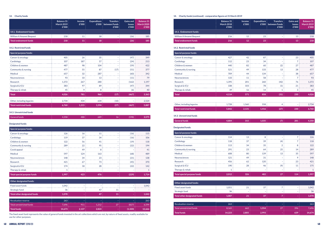| <b>Special purpose funds:</b>      |       |     |     |                          |                          |       |
|------------------------------------|-------|-----|-----|--------------------------|--------------------------|-------|
| Cancer & oncology                  | 126   | 16  | 11  |                          | (16)                     | 115   |
| Cardiology                         | 119   | 37  | 34  | $\overline{\phantom{0}}$ | (16)                     | 106   |
| Children & women                   | 122   | 56  | 41  | ۰                        | (19)                     | 118   |
| Community & nursing                | 289   | 22  | 95  | ۰                        | (22)                     | 194   |
| Covid appeal                       | ۰.    | 49  | 8   | ۰                        |                          | 41    |
| Medical                            | 597   | 124 | 163 | ۰                        | (68)                     | 489   |
| <b>Neurosciences</b>               | 148   | 34  | 23  | ۰                        | (21)                     | 138   |
| Research                           | 421   | 67  | 73  | ٠                        | (45)                     | 370   |
| Surgical & ICU                     | 174   | 18  | 28  | $\overline{\phantom{a}}$ | (22)                     | 142   |
| Therapy & rehab                    | и     |     | ٠   | ۰                        | $\overline{\phantom{a}}$ |       |
| <b>Total special purpose funds</b> | 1,997 | 423 | 476 |                          | (229)                    | 1,714 |

### **14. Charity funds**

### **14.2. Restricted funds**

# **14.3. Unrestricted funds**

# **Designated funds:**

|                                 | <b>Balance 31</b><br>March 2019<br>£'000 | <b>Income</b><br>£'000 | <b>Expenditure</b> | <b>Transfers</b><br>E'000   between Funds  <br>£'000 | <b>Gains and</b><br><b>losses</b><br>£'000 | <b>Balance 31</b><br><b>March 2020</b><br>£'000 |
|---------------------------------|------------------------------------------|------------------------|--------------------|------------------------------------------------------|--------------------------------------------|-------------------------------------------------|
| 14.1. Endowment funds:          |                                          |                        |                    |                                                      |                                            |                                                 |
| <b>William A Amanet Bequest</b> | 218                                      | 11                     | 18                 |                                                      | (26)                                       | 185                                             |
| Total endowment funds           | 218                                      | 11'                    | 18                 |                                                      | (26)                                       | 185                                             |

| <b>Special purpose funds:</b> |       |       |       |                          |       |       |
|-------------------------------|-------|-------|-------|--------------------------|-------|-------|
| Cancer & oncology             | 405   | 26    | 35    |                          | (47)  | 349   |
| Cardiology                    | 107   | 187   | 57    | ۰                        | (24)  | 213   |
| Children & women              | 487   | 98    | 104   | ۰                        | (59)  | 422   |
| Community & nursing           | 477   | 55    | 87    | (17)                     | (51)  | 377   |
| Medical                       | 657   | 32    | 287   | ٠                        | (60)  | 342   |
| <b>Neurosciences</b>          | 93    | 10    | 13    | ۰                        | (11)  | 79    |
| Research                      | 1,372 | 267   | 280   | $\overline{\phantom{0}}$ | (162) | 1,197 |
| Surgical & ICU                | 383   | 97    | 89    | ٠                        | (47)  | 344   |
| Therapy & rehab               | 45    | 9     | 8     |                          | (6)   | 40    |
| <b>Total</b>                  | 4,026 | 781   | 960   | (17)                     | (467) | 3,363 |
| Other, including legacies     | 2,734 | 434   | 634   | (10)                     |       | 2,524 |
| <b>Total restricted funds</b> | 6,760 | 1,215 | 1,594 | (27)                     | (467) | 5,887 |

| Other designated funds:      |        |       |       |    |          |                          |
|------------------------------|--------|-------|-------|----|----------|--------------------------|
| Fixed asset funds            | 1.042  |       |       |    | ۰        | 1.042                    |
| Strategic fund               | 36     |       | 47    | 11 | ۰        | $\overline{\phantom{0}}$ |
| Total other designated funds | 1,078  |       | 47    | 11 | -        | 1,042                    |
| Revaluation reserve          | 263    |       |       |    |          | 263                      |
| Total unrestricted funds     | 7.696  | 911   | 1.212 | 27 | (827)    | 6.594                    |
| <b>Total funds</b>           | 14,673 | 2,137 | 2,824 |    | (1, 320) | 12,666                   |

| $\sim$<br>mdr | ---<br>œ | $\sim$ | - -<br>e Ta<br>-- | ____<br>- 1 |  |
|---------------|----------|--------|-------------------|-------------|--|
|               |          |        |                   |             |  |

The fixed asset fund represents the value of general funds invested in the art collections which are not, by nature of fixed assets, readily available for use for other purposes.

## **14. Charity funds (continued) - comparative figures at 31 March 2019**

# **14.2. Restricted funds**

# **14.3. Unrestricted funds**

## **Designated funds:**

|                                 | <b>Balance 31</b><br><b>March 2018</b><br>£'000 | <b>Income</b><br>£'000 | <b>Expenditure</b> | <b>Transfers</b><br>E'000 between Funds<br>£'000 | <b>Gains and</b><br><b>losses</b><br>£'000 | <b>Balance 31</b><br><b>March 2019</b><br>£'000 |
|---------------------------------|-------------------------------------------------|------------------------|--------------------|--------------------------------------------------|--------------------------------------------|-------------------------------------------------|
| 14.1. Endowment funds:          |                                                 |                        |                    |                                                  |                                            |                                                 |
| <b>William A Amanet Bequest</b> | 216                                             | 12                     | 23                 | $\sim$                                           | 13                                         | 218                                             |
| Total endowment funds           | 216                                             | 12                     | 23                 | $\sim$                                           | 13                                         | 218                                             |

| <b>Special purpose funds:</b> |       |     |     |                          |     |       |
|-------------------------------|-------|-----|-----|--------------------------|-----|-------|
| Cancer & oncology             | 427   | 42  | 87  | ۰                        | 23  | 405   |
| Cardiology                    | 112   | 23  | 34  | ۰                        |     | 107   |
| Children & women              | 440   | 82  | 60  | (2)                      | 27  | 487   |
| Community & nursing           | 521   | 49  | 133 | 13                       | 28  | 477   |
| Medical                       | 709   | 44  | 134 | $\overline{\phantom{0}}$ | 38  | 657   |
| <b>Neurosciences</b>          | 133   | 11  | 58  | ۰                        |     | 93    |
| Research                      | 1.395 | 201 | 260 | (42)                     | 76  | 1.372 |
| Surgical & ICU                | 338   | 103 | 78  | (1)                      | 21  | 383   |
| Therapy & rehab               | 39    | 16  | 14  |                          | 3   | 45    |
| <b>Total</b>                  | 4,114 | 571 | 858 | (31)                     | 230 | 4,026 |

| <b>Special purpose funds:</b> |       |     |                          |                          |     |       |
|-------------------------------|-------|-----|--------------------------|--------------------------|-----|-------|
| Cancer & oncology             | 114   | 13  | 8                        |                          |     | 126   |
| Cardiology                    | 118   | 37  | 39                       | (4)                      |     | 118   |
| Children & women              | 113   | 34  | 35                       | $\mathfrak{D}$           | 8   | 122   |
| Community & nursing           | 291   | 23  | 64                       | 25                       | 14  | 289   |
| Medical                       | 608   | 80  | 139                      | 13                       | 35  | 597   |
| <b>Neurosciences</b>          | 121   | 49  | 31                       | $\overline{\phantom{a}}$ | 9   | 148   |
| Research                      | 456   | 62  | 120                      | $\overline{\phantom{a}}$ | 23  | 421   |
| Surgical & ICU                | 190   | 28  | 46                       | (9)                      | 11  | 175   |
| Therapy & rehab               | 1     |     | $\overline{\phantom{a}}$ |                          |     |       |
| Total special purpose funds   | 2,012 | 326 | 482                      | 27                       | 114 | 1,997 |

| Other designated funds:      |        |                          |       |    |     |        |
|------------------------------|--------|--------------------------|-------|----|-----|--------|
| Fixed asset funds            | 1.051  | 21                       | 37    |    |     | 1,042  |
| Strategic fund               | 36     | $\overline{\phantom{a}}$ | ÷     | ۰  |     | 36     |
| Total other designated funds | 1,087  | 21                       | 37    |    |     | 1,078  |
|                              |        |                          |       |    |     |        |
| Revaluation reserve          | 263    | -                        | ۰.    |    |     | 263    |
| Total unrestricted funds     | 8,165  | 662                      | 1,554 | 27 | 396 | 7,696  |
| Total funds                  | 14,223 | 2,805                    | 2,993 |    | 639 | 14,674 |

| Other, including legacies   | 700 | 1.560 | 558 |     | 734 |
|-----------------------------|-----|-------|-----|-----|-----|
| Total rest<br>tricted funds |     |       |     | nnn |     |

| <b>General funds</b> | R <sub>0</sub> | በ25<br>כטע | <b>MATOR</b> | $\sim$ $\sim$ $\sim$<br>-- |
|----------------------|----------------|------------|--------------|----------------------------|
|                      |                |            |              |                            |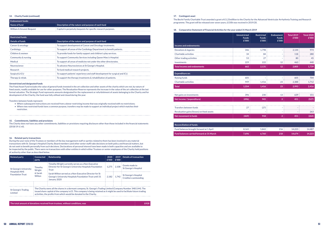### **14. Charity Funds (continued)**

## **18. Comparative Statement of Financial Activities for the year ended 31 March 2019**

| Endowment funds:         |                                                                |  |  |  |  |
|--------------------------|----------------------------------------------------------------|--|--|--|--|
| Name of fund             | $\Box$ Description of the nature and purpose of each fund      |  |  |  |  |
| William A Amanet Bequest | Capital in perpetuity bequests for specific research purposes. |  |  |  |  |

| <b>Restricted funds:</b> |                                                                             |
|--------------------------|-----------------------------------------------------------------------------|
| <b>Details of funds</b>  | Description of the nature and purpose of each fund                          |
| Cancer & oncology        | To support development of Cancer and Oncology treatments.                   |
| Cardiology               | To support all areas of the Cardiology Department to benefit patients.      |
| Children & women         | To provide funds for family support and children's play services.           |
| Community & nursing      | To support Community Services including Queen Mary's Hospital.              |
| Medical                  | To support all areas of medicine not under the other directorates.          |
| Neuroscience             | To advance Neurosciences at St George's Hospital.                           |
| Research                 | To fund medical research projects.                                          |
| Surgical & ICU           | To support patients' experience and staff development for surgical and ICU. |
| Therapy & rehab.         | To support the therapy treatments & rehabilitation of patients.             |

#### **Unrestricted and designated funds**

The Fixed Asset Fund includes the value of general funds invested in the art collection and other assets of the charity which are not, by nature of fixed assets, readily available for use for other purposes. The Revaluation Reserve represents the increase in the value of the art collection at the last formal valuation. The Strategic Fund represents amounts designated for the replacement or refurbishment of assets belonging to the Charity and for development of the Charity; the fund was fully utilised and closed during the year.

#### Transfers between funds represent:

- Where subsequent instructions are received from a donor restricting income that was originally received with no restrictions;
- Where two restricted funds have a common purpose, transfers may be made to support an individual project which matches their restriction.

#### **15. Commitments, liabilities and provisions**

The Charity does not have any other commitments, liabilities or provisions requiring disclosure other than those included in the financial statements (2018/19: £ nil).

#### **16. Related-party transactions**

During the year none of the Trustees or members of the key management staff or parties related to them has been involved in any material transactions with St. George's Hospital Charity. Board members (and other senior staff) take decisions on both policy and financial matters, but do not seek to benefit personally from such decisions. Declarations of personal interest have been made in both capacities and are available to be inspected by the public. There were no transactions with other entities in which either Trustees or senior employees of the Charity hold positions of authority other than as described below.

| <b>Related party</b>                                                             | Connected<br>party       | <b>Relationship</b>                                                                                                                                                                                                                                                                                                   | 2020<br>£'000 | £'000          | 2019 Details of transaction                   |
|----------------------------------------------------------------------------------|--------------------------|-----------------------------------------------------------------------------------------------------------------------------------------------------------------------------------------------------------------------------------------------------------------------------------------------------------------------|---------------|----------------|-----------------------------------------------|
| <b>St George's University</b><br><b>Hospitals NHS</b><br><b>Foundation Trust</b> | Timothy<br>Wright        | Timothy Wright currently serves as a Non-Executive<br>Director for St George's University Hospitals Foundation<br>Trust                                                                                                                                                                                               | 1.275         | 2.108          | Grants made to<br><b>St George's Hospital</b> |
|                                                                                  | & Sarah<br><b>Wilton</b> | Sarah Wilton served as a Non-Executive Director for St<br>George's University Hospitals Foundation Trust until 31<br>January 2020                                                                                                                                                                                     |               | 1,742<br>2.182 | St George's Hospital<br>Creditors outstanding |
| <b>St George's Trading</b><br><b>Limited</b>                                     |                          | The Charity owns all the shares in a dormant company, St. George's Trading Limited (Company Number 3481144). The<br>issued share capital of the company is £5. This company is being retained as it might be used to facilitate future trading<br>activities, the profits from which would be donated to the Charity. |               |                |                                               |

**The total amount of donations received from trustees, without conditions, was** *£418* **<b>£418** 

## **17. Contingent asset**

The Becht Family Charitable Trust awarded a grant of £1.25milllion to the Charity for the Advanced Ventricular Arrhythmia Training and Research programme. The grant will be released over seven years, £150k was received in 2019/20.

|                                            | <b>Unrestricted</b><br><b>Funds</b><br>£'000 | <b>Restricted</b><br><b>Funds</b><br>£'000 | <b>Endowment</b><br><b>Funds</b><br>£'000 | <b>Total 2019</b><br>£'000 | Total 2020<br>£'000 |
|--------------------------------------------|----------------------------------------------|--------------------------------------------|-------------------------------------------|----------------------------|---------------------|
| Income and endowments:                     |                                              |                                            |                                           |                            |                     |
| Donations & legacies                       | 346                                          | 1,798                                      | ٠                                         | 2,144                      | 974                 |
| Charitable activities                      | 34                                           | 84                                         | ٠                                         | 118                        | 280                 |
| Other trading activities                   | 53                                           | 27                                         |                                           | 80                         | 45                  |
| Investments                                | 229                                          | 222                                        | 12                                        | 463                        | 440                 |
| <b>Total income and endowments</b>         | 662                                          | 2,131                                      | 12                                        | 2,805                      | 1,739               |
| <b>Expenditure on:</b>                     |                                              |                                            |                                           |                            |                     |
| <b>Raising funds</b>                       | 605                                          | ٠                                          | ٠                                         | 605                        | 704                 |
| Charitable activities                      | 949                                          | 1,416                                      | 23                                        | 2,388                      | 1,712               |
| <b>Total</b>                               | 1,554                                        | 1,416                                      | 23                                        | 2,993                      | 2,416               |
|                                            |                                              |                                            |                                           |                            |                     |
| Net gains on investments                   | 396                                          | 230                                        | 13                                        | 639                        | 151                 |
| Net income / (expenditure)                 | (496)                                        | 945                                        | $\overline{2}$                            | 451                        | (527)               |
| <b>Transfers between funds</b>             | 27                                           | (27)                                       | ۰                                         |                            |                     |
| Revaluation gains/(losses) on fixed assets |                                              |                                            |                                           |                            | 263                 |
| Net movement in funds                      | (469)                                        | 918                                        | $\overline{2}$                            | 451                        | (264)               |

| $\blacksquare$ Reconciliation of funds:          |       |         |     |        |        |  |
|--------------------------------------------------|-------|---------|-----|--------|--------|--|
| Fund balances brought forward at 1 April         | 8.165 | 5.842   | 216 | 14.223 | 14.487 |  |
| <b>Fund balances carried forward at 31 March</b> | 7.696 | 6.760 i | 218 | 14.674 | 14.223 |  |